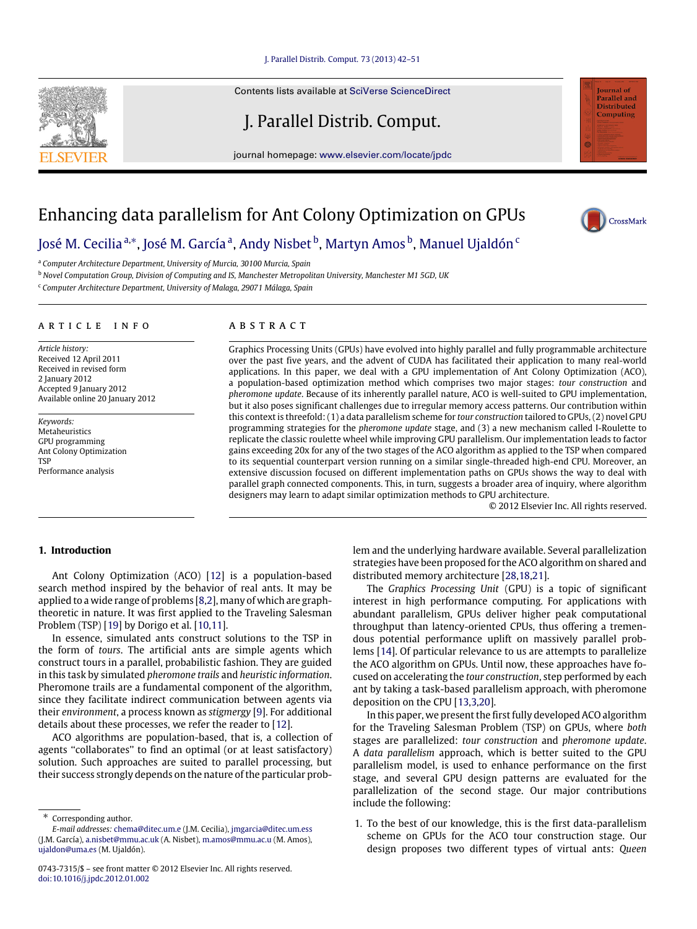## [J. Parallel Distrib. Comput. 73 \(2013\) 42–51](http://dx.doi.org/10.1016/j.jpdc.2012.01.002)

Contents lists available at [SciVerse ScienceDirect](http://www.elsevier.com/locate/jpdc)

J. Parallel Distrib. Comput.

journal homepage: [www.elsevier.com/locate/jpdc](http://www.elsevier.com/locate/jpdc)

## Enhancing data parallelism for Ant Colony Optimization on GPUs

[José M. Cecilia](#page--1-0) <sup>[a,](#page-0-0)</sup>\*, [José M. García](#page--1-1) ª, Andy Nisbet <sup>b</sup>, M[a](#page-0-0)rtyn Amos <sup>[b](#page-0-2)</sup>, [Manuel Ujaldón](#page--1-4) <sup>[c](#page-0-3)</sup>

<span id="page-0-0"></span><sup>a</sup> *Computer Architecture Department, University of Murcia, 30100 Murcia, Spain*

<span id="page-0-2"></span><sup>b</sup> *Novel Computation Group, Division of Computing and IS, Manchester Metropolitan University, Manchester M1 5GD, UK*

<span id="page-0-3"></span><sup>c</sup> *Computer Architecture Department, University of Malaga, 29071 Málaga, Spain*

#### A R T I C L E I N F O

*Article history:* Received 12 April 2011 Received in revised form 2 January 2012 Accepted 9 January 2012 Available online 20 January 2012

*Keywords:* Metaheuristics GPU programming Ant Colony Optimization **TSP** Performance analysis

### a b s t r a c t

Graphics Processing Units (GPUs) have evolved into highly parallel and fully programmable architecture over the past five years, and the advent of CUDA has facilitated their application to many real-world applications. In this paper, we deal with a GPU implementation of Ant Colony Optimization (ACO), a population-based optimization method which comprises two major stages: *tour construction* and *pheromone update*. Because of its inherently parallel nature, ACO is well-suited to GPU implementation, but it also poses significant challenges due to irregular memory access patterns. Our contribution within this context is threefold: (1) a data parallelism scheme for *tour construction* tailored to GPUs, (2) novel GPU programming strategies for the *pheromone update* stage, and (3) a new mechanism called I-Roulette to replicate the classic roulette wheel while improving GPU parallelism. Our implementation leads to factor gains exceeding 20x for any of the two stages of the ACO algorithm as applied to the TSP when compared to its sequential counterpart version running on a similar single-threaded high-end CPU. Moreover, an extensive discussion focused on different implementation paths on GPUs shows the way to deal with parallel graph connected components. This, in turn, suggests a broader area of inquiry, where algorithm designers may learn to adapt similar optimization methods to GPU architecture.

© 2012 Elsevier Inc. All rights reserved.

## **1. Introduction**

Ant Colony Optimization (ACO) [\[12\]](#page--1-5) is a population-based search method inspired by the behavior of real ants. It may be applied to a wide range of problems [\[8,](#page--1-6)[2\]](#page--1-7), many of which are graphtheoretic in nature. It was first applied to the Traveling Salesman Problem (TSP) [\[19\]](#page--1-8) by Dorigo et al. [\[10](#page--1-9)[,11\]](#page--1-10).

In essence, simulated ants construct solutions to the TSP in the form of *tours*. The artificial ants are simple agents which construct tours in a parallel, probabilistic fashion. They are guided in this task by simulated *pheromone trails* and *heuristic information*. Pheromone trails are a fundamental component of the algorithm, since they facilitate indirect communication between agents via their *environment*, a process known as *stigmergy* [\[9\]](#page--1-11). For additional details about these processes, we refer the reader to [\[12\]](#page--1-5).

ACO algorithms are population-based, that is, a collection of agents "collaborates" to find an optimal (or at least satisfactory) solution. Such approaches are suited to parallel processing, but their success strongly depends on the nature of the particular prob-

<span id="page-0-1"></span>Corresponding author.

lem and the underlying hardware available. Several parallelization strategies have been proposed for the ACO algorithm on shared and distributed memory architecture [\[28](#page--1-12)[,18](#page--1-13)[,21\]](#page--1-14).

The *Graphics Processing Unit* (GPU) is a topic of significant interest in high performance computing. For applications with abundant parallelism, GPUs deliver higher peak computational throughput than latency-oriented CPUs, thus offering a tremendous potential performance uplift on massively parallel problems [\[14\]](#page--1-15). Of particular relevance to us are attempts to parallelize the ACO algorithm on GPUs. Until now, these approaches have focused on accelerating the *tour construction*, step performed by each ant by taking a task-based parallelism approach, with pheromone deposition on the CPU [\[13,](#page--1-16)[3](#page--1-17)[,20\]](#page--1-18).

In this paper, we present the first fully developed ACO algorithm for the Traveling Salesman Problem (TSP) on GPUs, where *both* stages are parallelized: *tour construction* and *pheromone update*. A *data parallelism* approach, which is better suited to the GPU parallelism model, is used to enhance performance on the first stage, and several GPU design patterns are evaluated for the parallelization of the second stage. Our major contributions include the following:

1. To the best of our knowledge, this is the first data-parallelism scheme on GPUs for the ACO tour construction stage. Our design proposes two different types of virtual ants: *Queen*





Journal of .<br>Parallel and **Distributed Computing** 

*E-mail addresses:* [chema@ditec.um.e](mailto:chema@ditec.um.e) (J.M. Cecilia), [jmgarcia@ditec.um.ess](mailto:jmgarcia@ditec.um.ess) (J.M. García), [a.nisbet@mmu.ac.uk](mailto:a.nisbet@mmu.ac.uk) (A. Nisbet), [m.amos@mmu.ac.u](mailto:m.amos@mmu.ac.u) (M. Amos), [ujaldon@uma.es](mailto:ujaldon@uma.es) (M. Ujaldón).

<sup>0743-7315/\$ –</sup> see front matter © 2012 Elsevier Inc. All rights reserved. [doi:10.1016/j.jpdc.2012.01.002](http://dx.doi.org/10.1016/j.jpdc.2012.01.002)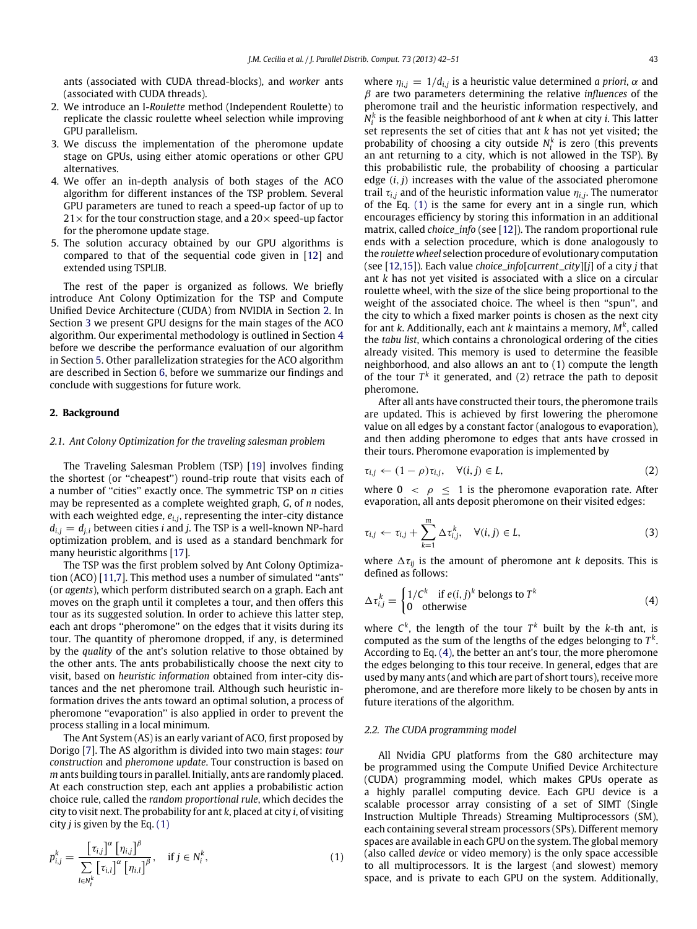ants (associated with CUDA thread-blocks), and *worker* ants (associated with CUDA threads).

- 2. We introduce an I-*Roulette* method (Independent Roulette) to replicate the classic roulette wheel selection while improving GPU parallelism.
- 3. We discuss the implementation of the pheromone update stage on GPUs, using either atomic operations or other GPU alternatives.
- 4. We offer an in-depth analysis of both stages of the ACO algorithm for different instances of the TSP problem. Several GPU parameters are tuned to reach a speed-up factor of up to  $21\times$  for the tour construction stage, and a  $20\times$  speed-up factor for the pheromone update stage.
- 5. The solution accuracy obtained by our GPU algorithms is compared to that of the sequential code given in [\[12\]](#page--1-5) and extended using TSPLIB.

The rest of the paper is organized as follows. We briefly introduce Ant Colony Optimization for the TSP and Compute Unified Device Architecture (CUDA) from NVIDIA in Section [2.](#page-1-0) In Section [3](#page--1-19) we present GPU designs for the main stages of the ACO algorithm. Our experimental methodology is outlined in Section [4](#page--1-20) before we describe the performance evaluation of our algorithm in Section [5.](#page--1-21) Other parallelization strategies for the ACO algorithm are described in Section [6,](#page--1-22) before we summarize our findings and conclude with suggestions for future work.

## <span id="page-1-0"></span>**2. Background**

### *2.1. Ant Colony Optimization for the traveling salesman problem*

The Traveling Salesman Problem (TSP) [\[19\]](#page--1-8) involves finding the shortest (or ''cheapest'') round-trip route that visits each of a number of ''cities'' exactly once. The symmetric TSP on *n* cities may be represented as a complete weighted graph, *G*, of *n* nodes, with each weighted edge, *ei*,*<sup>j</sup>* , representing the inter-city distance  $d_{i,j} = d_{j,i}$  between cities *i* and *j*. The TSP is a well-known NP-hard optimization problem, and is used as a standard benchmark for many heuristic algorithms [\[17\]](#page--1-23).

The TSP was the first problem solved by Ant Colony Optimization (ACO) [\[11](#page--1-10)[,7\]](#page--1-24). This method uses a number of simulated ''ants'' (or *agents*), which perform distributed search on a graph. Each ant moves on the graph until it completes a tour, and then offers this tour as its suggested solution. In order to achieve this latter step, each ant drops ''pheromone'' on the edges that it visits during its tour. The quantity of pheromone dropped, if any, is determined by the *quality* of the ant's solution relative to those obtained by the other ants. The ants probabilistically choose the next city to visit, based on *heuristic information* obtained from inter-city distances and the net pheromone trail. Although such heuristic information drives the ants toward an optimal solution, a process of pheromone ''evaporation'' is also applied in order to prevent the process stalling in a local minimum.

The Ant System (AS) is an early variant of ACO, first proposed by Dorigo [\[7\]](#page--1-24). The AS algorithm is divided into two main stages: *tour construction* and *pheromone update*. Tour construction is based on *m* ants building tours in parallel. Initially, ants are randomly placed. At each construction step, each ant applies a probabilistic action choice rule, called the *random proportional rule*, which decides the city to visit next. The probability for ant *k*, placed at city *i*, of visiting city *j* is given by the Eq. [\(1\)](#page-1-1)

$$
p_{i,j}^k = \frac{\left[\tau_{i,j}\right]^\alpha \left[\eta_{i,j}\right]^\beta}{\sum\limits_{l \in N_i^k} \left[\tau_{i,l}\right]^\alpha \left[\eta_{i,l}\right]^\beta}, \quad \text{if } j \in N_i^k,
$$
\n
$$
(1)
$$

where  $\eta_{i,j} = 1/d_{i,j}$  is a heuristic value determined *a priori*,  $\alpha$  and β are two parameters determining the relative *influences* of the pheromone trail and the heuristic information respectively, and  $N_i^k$  is the feasible neighborhood of ant *k* when at city *i*. This latter set represents the set of cities that ant *k* has not yet visited; the probability of choosing a city outside  $N_i^k$  is zero (this prevents an ant returning to a city, which is not allowed in the TSP). By this probabilistic rule, the probability of choosing a particular edge (*i*, *j*) increases with the value of the associated pheromone trail  $\tau_{i,j}$  and of the heuristic information value  $\eta_{i,j}$ . The numerator of the Eq. [\(1\)](#page-1-1) is the same for every ant in a single run, which encourages efficiency by storing this information in an additional matrix, called *choice\_info* (see [\[12\]](#page--1-5)). The random proportional rule ends with a selection procedure, which is done analogously to the *roulette wheel* selection procedure of evolutionary computation (see [\[12,](#page--1-5)[15\]](#page--1-25)). Each value *choice*\_*info*[*current*\_*city*][*j*] of a city *j* that ant *k* has not yet visited is associated with a slice on a circular roulette wheel, with the size of the slice being proportional to the weight of the associated choice. The wheel is then ''spun'', and the city to which a fixed marker points is chosen as the next city for ant *k*. Additionally, each ant *k* maintains a memory, *M<sup>k</sup>* , called the *tabu list*, which contains a chronological ordering of the cities already visited. This memory is used to determine the feasible neighborhood, and also allows an ant to (1) compute the length of the tour  $T^k$  it generated, and (2) retrace the path to deposit pheromone.

After all ants have constructed their tours, the pheromone trails are updated. This is achieved by first lowering the pheromone value on all edges by a constant factor (analogous to evaporation), and then adding pheromone to edges that ants have crossed in their tours. Pheromone evaporation is implemented by

$$
\tau_{i,j} \leftarrow (1 - \rho)\tau_{i,j}, \quad \forall (i,j) \in L,\tag{2}
$$

where  $0 < \rho \leq 1$  is the pheromone evaporation rate. After evaporation, all ants deposit pheromone on their visited edges:

$$
\tau_{i,j} \leftarrow \tau_{i,j} + \sum_{k=1}^{m} \Delta \tau_{i,j}^{k}, \quad \forall (i,j) \in L,
$$
\n(3)

where  $\Delta \tau_{ij}$  is the amount of pheromone ant *k* deposits. This is defined as follows:

<span id="page-1-2"></span>
$$
\Delta \tau_{i,j}^k = \begin{cases} 1/C^k & \text{if } e(i,j)^k \text{ belongs to } T^k \\ 0 & \text{otherwise} \end{cases}
$$
 (4)

where  $C^k$ , the length of the tour  $T^k$  built by the *k*-th ant, is computed as the sum of the lengths of the edges belonging to  $T^k$ . According to Eq. [\(4\),](#page-1-2) the better an ant's tour, the more pheromone the edges belonging to this tour receive. In general, edges that are used by many ants (and which are part of short tours), receive more pheromone, and are therefore more likely to be chosen by ants in future iterations of the algorithm.

#### *2.2. The CUDA programming model*

<span id="page-1-1"></span>All Nvidia GPU platforms from the G80 architecture may be programmed using the Compute Unified Device Architecture (CUDA) programming model, which makes GPUs operate as a highly parallel computing device. Each GPU device is a scalable processor array consisting of a set of SIMT (Single Instruction Multiple Threads) Streaming Multiprocessors (SM), each containing several stream processors (SPs). Different memory spaces are available in each GPU on the system. The global memory (also called *device* or video memory) is the only space accessible to all multiprocessors. It is the largest (and slowest) memory space, and is private to each GPU on the system. Additionally,